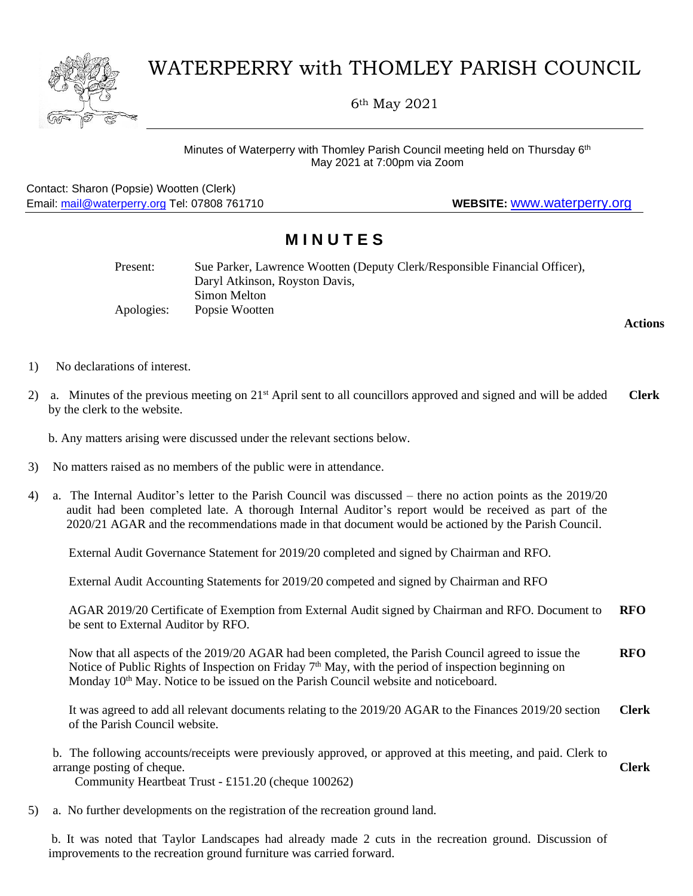

## WATERPERRY with THOMLEY PARISH COUNCIL

6th May 2021

Minutes of Waterperry with Thomley Parish Council meeting held on Thursday 6<sup>th</sup> May 2021 at 7:00pm via Zoom

Contact: Sharon (Popsie) Wootten (Clerk) Email: [mail@waterperry.org](mailto:mail@waterperry.org) Tel: 07808 761710 **WEBSITE:** [www.waterperry.org](http://www.waterperry.org/)

## **M I N U T E S**

| Present:   | Sue Parker, Lawrence Wootten (Deputy Clerk/Responsible Financial Officer), |
|------------|----------------------------------------------------------------------------|
|            | Daryl Atkinson, Royston Davis,                                             |
|            | Simon Melton                                                               |
| Apologies: | Popsie Wootten                                                             |

**Actions**

- 1) No declarations of interest.
- 2) a. Minutes of the previous meeting on  $21<sup>st</sup>$  April sent to all councillors approved and signed and will be added by the clerk to the website. **Clerk**

b. Any matters arising were discussed under the relevant sections below.

- 3) No matters raised as no members of the public were in attendance.
- 4) a. The Internal Auditor's letter to the Parish Council was discussed there no action points as the 2019/20 audit had been completed late. A thorough Internal Auditor's report would be received as part of the 2020/21 AGAR and the recommendations made in that document would be actioned by the Parish Council.

External Audit Governance Statement for 2019/20 completed and signed by Chairman and RFO.

External Audit Accounting Statements for 2019/20 competed and signed by Chairman and RFO

AGAR 2019/20 Certificate of Exemption from External Audit signed by Chairman and RFO. Document to be sent to External Auditor by RFO. **RFO**

Now that all aspects of the 2019/20 AGAR had been completed, the Parish Council agreed to issue the Notice of Public Rights of Inspection on Friday  $7<sup>th</sup>$  May, with the period of inspection beginning on Monday  $10<sup>th</sup>$  May. Notice to be issued on the Parish Council website and noticeboard. **RFO**

It was agreed to add all relevant documents relating to the 2019/20 AGAR to the Finances 2019/20 section of the Parish Council website. **Clerk**

b. The following accounts/receipts were previously approved, or approved at this meeting, and paid. Clerk to arrange posting of cheque. **Clerk**

Community Heartbeat Trust - £151.20 (cheque 100262)

5) a. No further developments on the registration of the recreation ground land.

b. It was noted that Taylor Landscapes had already made 2 cuts in the recreation ground. Discussion of improvements to the recreation ground furniture was carried forward.